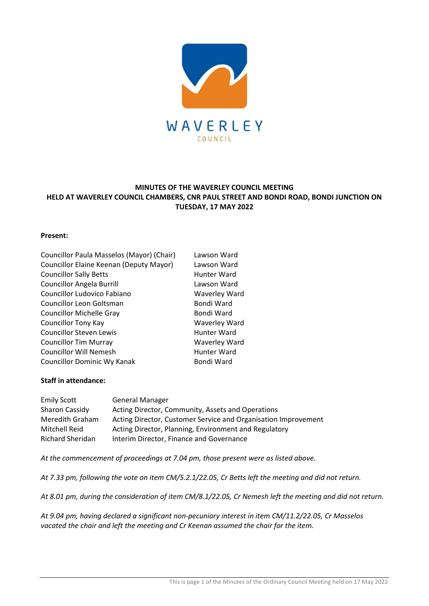

# **MINUTES OF THE WAVERLEY COUNCIL MEETING HELD AT WAVERLEY COUNCIL CHAMBERS, CNR PAUL STREET AND BONDI ROAD, BONDI JUNCTION ON TUESDAY, 17 MAY 2022**

# **Present:**

| Lawson Ward          |
|----------------------|
| Lawson Ward          |
| Hunter Ward          |
| Lawson Ward          |
| <b>Waverley Ward</b> |
| Bondi Ward           |
| Bondi Ward           |
| <b>Waverley Ward</b> |
| Hunter Ward          |
| <b>Waverley Ward</b> |
| Hunter Ward          |
| Bondi Ward           |
|                      |

# **Staff in attendance:**

| <b>Emily Scott</b> | <b>General Manager</b>                                         |
|--------------------|----------------------------------------------------------------|
| Sharon Cassidy     | Acting Director, Community, Assets and Operations              |
| Meredith Graham    | Acting Director, Customer Service and Organisation Improvement |
| Mitchell Reid      | Acting Director, Planning, Environment and Regulatory          |
| Richard Sheridan   | Interim Director, Finance and Governance                       |

*At the commencement of proceedings at 7.04 pm, those present were as listed above.*

*At 7.33 pm, following the vote on item CM/5.2.1/22.05, Cr Betts left the meeting and did not return.*

*At 8.01 pm, during the consideration of item CM/8.1/22.05, Cr Nemesh left the meeting and did not return.*

*At 9.04 pm, having declared a significant non-pecuniary interest in item CM/11.2/22.05, Cr Masselos vacated the chair and left the meeting and Cr Keenan assumed the chair for the item.*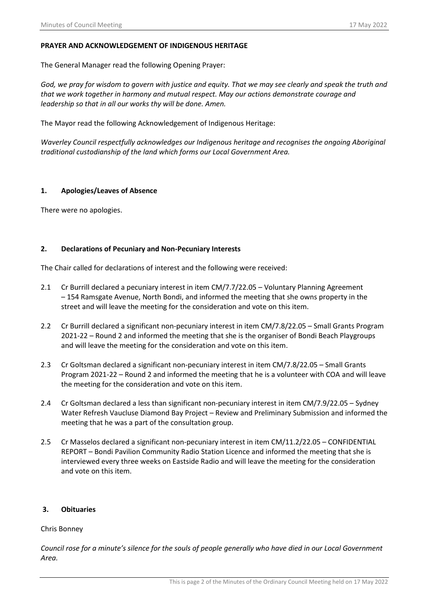# **PRAYER AND ACKNOWLEDGEMENT OF INDIGENOUS HERITAGE**

The General Manager read the following Opening Prayer:

*God, we pray for wisdom to govern with justice and equity. That we may see clearly and speak the truth and that we work together in harmony and mutual respect. May our actions demonstrate courage and leadership so that in all our works thy will be done. Amen.*

The Mayor read the following Acknowledgement of Indigenous Heritage:

*Waverley Council respectfully acknowledges our Indigenous heritage and recognises the ongoing Aboriginal traditional custodianship of the land which forms our Local Government Area.*

# **1. Apologies/Leaves of Absence**

There were no apologies.

# **2. Declarations of Pecuniary and Non-Pecuniary Interests**

The Chair called for declarations of interest and the following were received:

- 2.1 Cr Burrill declared a pecuniary interest in item CM/7.7/22.05 Voluntary Planning Agreement – 154 Ramsgate Avenue, North Bondi, and informed the meeting that she owns property in the street and will leave the meeting for the consideration and vote on this item.
- 2.2 Cr Burrill declared a significant non-pecuniary interest in item CM/7.8/22.05 Small Grants Program 2021-22 – Round 2 and informed the meeting that she is the organiser of Bondi Beach Playgroups and will leave the meeting for the consideration and vote on this item.
- 2.3 Cr Goltsman declared a significant non-pecuniary interest in item CM/7.8/22.05 Small Grants Program 2021-22 – Round 2 and informed the meeting that he is a volunteer with COA and will leave the meeting for the consideration and vote on this item.
- 2.4 Cr Goltsman declared a less than significant non-pecuniary interest in item CM/7.9/22.05 Sydney Water Refresh Vaucluse Diamond Bay Project – Review and Preliminary Submission and informed the meeting that he was a part of the consultation group.
- 2.5 Cr Masselos declared a significant non-pecuniary interest in item CM/11.2/22.05 CONFIDENTIAL REPORT – Bondi Pavilion Community Radio Station Licence and informed the meeting that she is interviewed every three weeks on Eastside Radio and will leave the meeting for the consideration and vote on this item.

# **3. Obituaries**

# Chris Bonney

*Council rose for a minute's silence for the souls of people generally who have died in our Local Government Area.*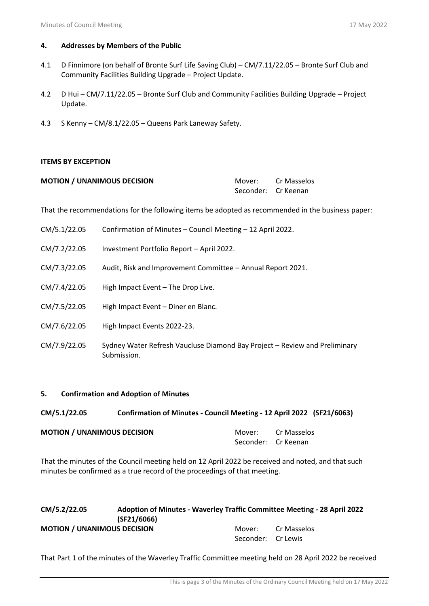# **4. Addresses by Members of the Public**

- 4.1 D Finnimore (on behalf of Bronte Surf Life Saving Club) CM/7.11/22.05 Bronte Surf Club and Community Facilities Building Upgrade – Project Update.
- 4.2 D Hui CM/7.11/22.05 Bronte Surf Club and Community Facilities Building Upgrade Project Update.
- 4.3 S Kenny CM/8.1/22.05 Queens Park Laneway Safety.

# **ITEMS BY EXCEPTION**

| <b>MOTION / UNANIMOUS DECISION</b> | Mover:              | Cr Masselos |
|------------------------------------|---------------------|-------------|
|                                    | Seconder: Cr Keenan |             |

That the recommendations for the following items be adopted as recommended in the business paper:

- CM/5.1/22.05 Confirmation of Minutes Council Meeting 12 April 2022.
- CM/7.2/22.05 Investment Portfolio Report April 2022.
- CM/7.3/22.05 Audit, Risk and Improvement Committee Annual Report 2021.
- CM/7.4/22.05 High Impact Event The Drop Live.
- CM/7.5/22.05 High Impact Event Diner en Blanc.
- CM/7.6/22.05 High Impact Events 2022-23.
- CM/7.9/22.05 Sydney Water Refresh Vaucluse Diamond Bay Project Review and Preliminary Submission.

# **5. Confirmation and Adoption of Minutes**

| CM/5.1/22.05                       | Confirmation of Minutes - Council Meeting - 12 April 2022 (SF21/6063) |                     |                    |
|------------------------------------|-----------------------------------------------------------------------|---------------------|--------------------|
| <b>MOTION / UNANIMOUS DECISION</b> |                                                                       | Seconder: Cr Keenan | Mover: Cr Masselos |

That the minutes of the Council meeting held on 12 April 2022 be received and noted, and that such minutes be confirmed as a true record of the proceedings of that meeting.

| CM/5.2/22.05                       | Adoption of Minutes - Waverley Traffic Committee Meeting - 28 April 2022<br>(SF21/6066) |                    |             |  |
|------------------------------------|-----------------------------------------------------------------------------------------|--------------------|-------------|--|
| <b>MOTION / UNANIMOUS DECISION</b> |                                                                                         | Mover:             | Cr Masselos |  |
|                                    |                                                                                         | Seconder: Cr Lewis |             |  |

That Part 1 of the minutes of the Waverley Traffic Committee meeting held on 28 April 2022 be received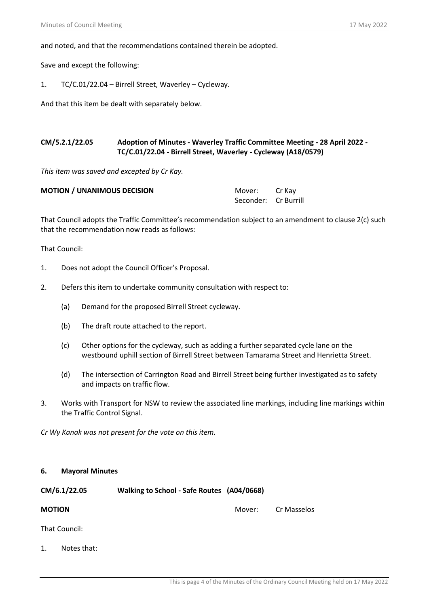and noted, and that the recommendations contained therein be adopted.

Save and except the following:

1. TC/C.01/22.04 – Birrell Street, Waverley – Cycleway.

And that this item be dealt with separately below.

# **CM/5.2.1/22.05 Adoption of Minutes - Waverley Traffic Committee Meeting - 28 April 2022 - TC/C.01/22.04 - Birrell Street, Waverley - Cycleway (A18/0579)**

*This item was saved and excepted by Cr Kay.*

| <b>MOTION / UNANIMOUS DECISION</b> | Mover: Cr Kay        |  |
|------------------------------------|----------------------|--|
|                                    | Seconder: Cr Burrill |  |

That Council adopts the Traffic Committee's recommendation subject to an amendment to clause 2(c) such that the recommendation now reads as follows:

That Council:

- 1. Does not adopt the Council Officer's Proposal.
- 2. Defers this item to undertake community consultation with respect to:
	- (a) Demand for the proposed Birrell Street cycleway.
	- (b) The draft route attached to the report.
	- (c) Other options for the cycleway, such as adding a further separated cycle lane on the westbound uphill section of Birrell Street between Tamarama Street and Henrietta Street.
	- (d) The intersection of Carrington Road and Birrell Street being further investigated as to safety and impacts on traffic flow.
- 3. Works with Transport for NSW to review the associated line markings, including line markings within the Traffic Control Signal.

*Cr Wy Kanak was not present for the vote on this item.*

### **6. Mayoral Minutes**

| CM/6.1/22.05  | Walking to School - Safe Routes (A04/0668) |        |             |
|---------------|--------------------------------------------|--------|-------------|
| <b>MOTION</b> |                                            | Mover: | Cr Masselos |

That Council:

1. Notes that: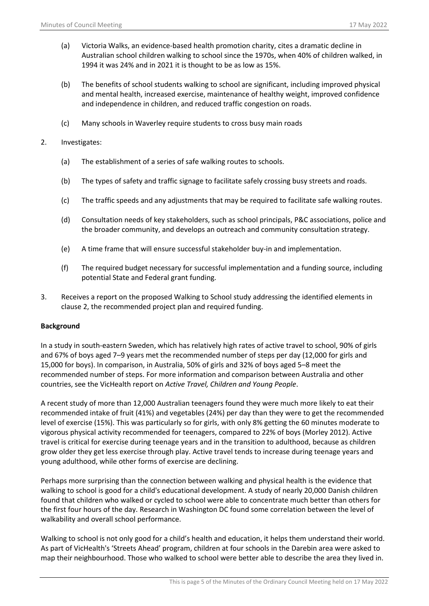- (a) Victoria Walks, an evidence-based health promotion charity, cites a dramatic decline in Australian school children walking to school since the 1970s, when 40% of children walked, in 1994 it was 24% and in 2021 it is thought to be as low as 15%.
- (b) The benefits of school students walking to school are significant, including improved physical and mental health, increased exercise, maintenance of healthy weight, improved confidence and independence in children, and reduced traffic congestion on roads.
- (c) Many schools in Waverley require students to cross busy main roads
- 2. Investigates:
	- (a) The establishment of a series of safe walking routes to schools.
	- (b) The types of safety and traffic signage to facilitate safely crossing busy streets and roads.
	- (c) The traffic speeds and any adjustments that may be required to facilitate safe walking routes.
	- (d) Consultation needs of key stakeholders, such as school principals, P&C associations, police and the broader community, and develops an outreach and community consultation strategy.
	- (e) A time frame that will ensure successful stakeholder buy-in and implementation.
	- (f) The required budget necessary for successful implementation and a funding source, including potential State and Federal grant funding.
- 3. Receives a report on the proposed Walking to School study addressing the identified elements in clause 2, the recommended project plan and required funding.

# **Background**

In a study in south-eastern Sweden, which has relatively high rates of active travel to school, 90% of girls and 67% of boys aged 7–9 years met the recommended number of steps per day (12,000 for girls and 15,000 for boys). In comparison, in Australia, 50% of girls and 32% of boys aged 5–8 meet the recommended number of steps. For more information and comparison between Australia and other countries, see the VicHealth report on *Active Travel, Children and Young People*.

A recent study of more than 12,000 Australian teenagers found they were much more likely to eat their recommended intake of fruit (41%) and vegetables (24%) per day than they were to get the recommended level of exercise (15%). This was particularly so for girls, with only 8% getting the 60 minutes moderate to vigorous physical activity recommended for teenagers, compared to 22% of boys (Morley 2012). Active travel is critical for exercise during teenage years and in the transition to adulthood, because as children grow older they get less exercise through play. Active travel tends to increase during teenage years and young adulthood, while other forms of exercise are declining.

Perhaps more surprising than the connection between walking and physical health is the evidence that walking to school is good for a child's educational development. A study of nearly 20,000 Danish children found that children who walked or cycled to school were able to concentrate much better than others for the first four hours of the day. Research in Washington DC found some correlation between the level of walkability and overall school performance.

Walking to school is not only good for a child's health and education, it helps them understand their world. As part of VicHealth's 'Streets Ahead' program, children at four schools in the Darebin area were asked to map their neighbourhood. Those who walked to school were better able to describe the area they lived in.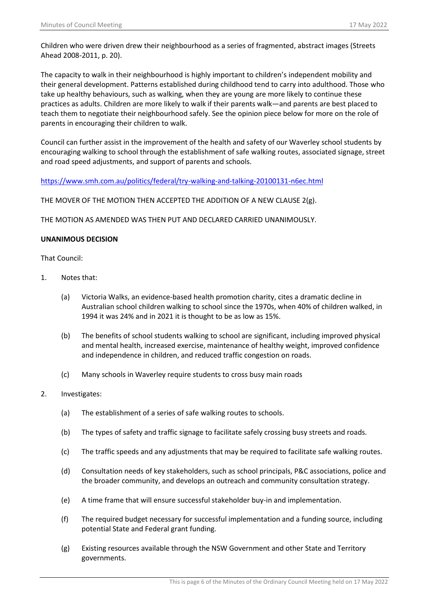Children who were driven drew their neighbourhood as a series of fragmented, abstract images (Streets Ahead 2008-2011, p. 20).

The capacity to walk in their neighbourhood is highly important to children's independent mobility and their general development. Patterns established during childhood tend to carry into adulthood. Those who take up healthy behaviours, such as walking, when they are young are more likely to continue these practices as adults. Children are more likely to walk if their parents walk—and parents are best placed to teach them to negotiate their neighbourhood safely. See the opinion piece below for more on the role of parents in encouraging their children to walk.

Council can further assist in the improvement of the health and safety of our Waverley school students by encouraging walking to school through the establishment of safe walking routes, associated signage, street and road speed adjustments, and support of parents and schools.

<https://www.smh.com.au/politics/federal/try-walking-and-talking-20100131-n6ec.html>

THE MOVER OF THE MOTION THEN ACCEPTED THE ADDITION OF A NEW CLAUSE 2(g).

THE MOTION AS AMENDED WAS THEN PUT AND DECLARED CARRIED UNANIMOUSLY.

# **UNANIMOUS DECISION**

- 1. Notes that:
	- (a) Victoria Walks, an evidence-based health promotion charity, cites a dramatic decline in Australian school children walking to school since the 1970s, when 40% of children walked, in 1994 it was 24% and in 2021 it is thought to be as low as 15%.
	- (b) The benefits of school students walking to school are significant, including improved physical and mental health, increased exercise, maintenance of healthy weight, improved confidence and independence in children, and reduced traffic congestion on roads.
	- (c) Many schools in Waverley require students to cross busy main roads
- 2. Investigates:
	- (a) The establishment of a series of safe walking routes to schools.
	- (b) The types of safety and traffic signage to facilitate safely crossing busy streets and roads.
	- (c) The traffic speeds and any adjustments that may be required to facilitate safe walking routes.
	- (d) Consultation needs of key stakeholders, such as school principals, P&C associations, police and the broader community, and develops an outreach and community consultation strategy.
	- (e) A time frame that will ensure successful stakeholder buy-in and implementation.
	- (f) The required budget necessary for successful implementation and a funding source, including potential State and Federal grant funding.
	- (g) Existing resources available through the NSW Government and other State and Territory governments.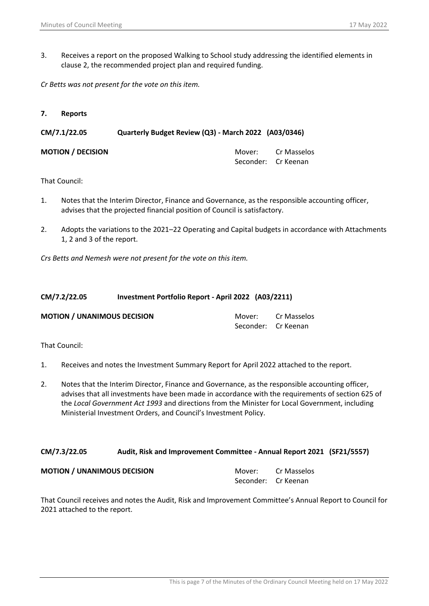3. Receives a report on the proposed Walking to School study addressing the identified elements in clause 2, the recommended project plan and required funding.

*Cr Betts was not present for the vote on this item.*

**7. Reports**

**CM/7.1/22.05 Quarterly Budget Review (Q3) - March 2022 (A03/0346)**

**MOTION / DECISION MOTION** / **DECISION** Seconder: Cr Keenan

That Council:

- 1. Notes that the Interim Director, Finance and Governance, as the responsible accounting officer, advises that the projected financial position of Council is satisfactory.
- 2. Adopts the variations to the 2021–22 Operating and Capital budgets in accordance with Attachments 1, 2 and 3 of the report.

*Crs Betts and Nemesh were not present for the vote on this item.*

# **CM/7.2/22.05 Investment Portfolio Report - April 2022 (A03/2211)**

| <b>MOTION / UNANIMOUS DECISION</b> | Mover:              | Cr Masselos |
|------------------------------------|---------------------|-------------|
|                                    | Seconder: Cr Keenan |             |

That Council:

- 1. Receives and notes the Investment Summary Report for April 2022 attached to the report.
- 2. Notes that the Interim Director, Finance and Governance, as the responsible accounting officer, advises that all investments have been made in accordance with the requirements of section 625 of the *Local Government Act 1993* and directions from the Minister for Local Government, including Ministerial Investment Orders, and Council's Investment Policy.

# **CM/7.3/22.05 Audit, Risk and Improvement Committee - Annual Report 2021 (SF21/5557)**

| <b>MOTION / UNANIMOUS DECISION</b> |                     | Mover: Cr Masselos |
|------------------------------------|---------------------|--------------------|
|                                    | Seconder: Cr Keenan |                    |

That Council receives and notes the Audit, Risk and Improvement Committee's Annual Report to Council for 2021 attached to the report.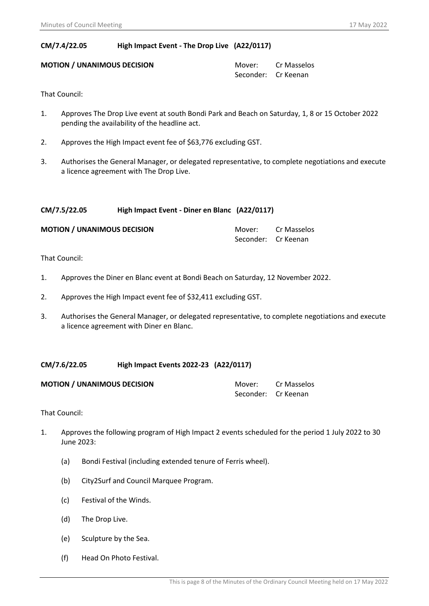# **CM/7.4/22.05 High Impact Event - The Drop Live (A22/0117)**

# **MOTION / UNANIMOUS DECISION**  Mover: Cr Masselos

Seconder: Cr Keenan

That Council:

- 1. Approves The Drop Live event at south Bondi Park and Beach on Saturday, 1, 8 or 15 October 2022 pending the availability of the headline act.
- 2. Approves the High Impact event fee of \$63,776 excluding GST.
- 3. Authorises the General Manager, or delegated representative, to complete negotiations and execute a licence agreement with The Drop Live.

# **CM/7.5/22.05 High Impact Event - Diner en Blanc (A22/0117)**

| <b>MOTION / UNANIMOUS DECISION</b> | Mover:              | Cr Masselos |
|------------------------------------|---------------------|-------------|
|                                    | Seconder: Cr Keenan |             |

That Council:

- 1. Approves the Diner en Blanc event at Bondi Beach on Saturday, 12 November 2022.
- 2. Approves the High Impact event fee of \$32,411 excluding GST.
- 3. Authorises the General Manager, or delegated representative, to complete negotiations and execute a licence agreement with Diner en Blanc.

# **CM/7.6/22.05 High Impact Events 2022-23 (A22/0117)**

| <b>MOTION / UNANIMOUS DECISION</b> | Mover:              | Cr Masselos |
|------------------------------------|---------------------|-------------|
|                                    | Seconder: Cr Keenan |             |

- 1. Approves the following program of High Impact 2 events scheduled for the period 1 July 2022 to 30 June 2023:
	- (a) Bondi Festival (including extended tenure of Ferris wheel).
	- (b) City2Surf and Council Marquee Program.
	- (c) Festival of the Winds.
	- (d) The Drop Live.
	- (e) Sculpture by the Sea.
	- (f) Head On Photo Festival.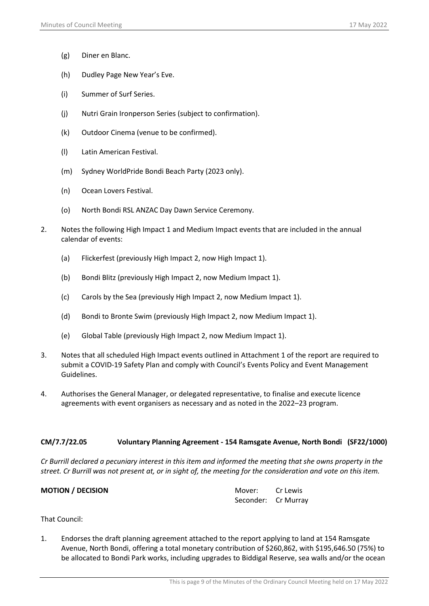- (g) Diner en Blanc.
- (h) Dudley Page New Year's Eve.
- (i) Summer of Surf Series.
- (j) Nutri Grain Ironperson Series (subject to confirmation).
- (k) Outdoor Cinema (venue to be confirmed).
- (l) Latin American Festival.
- (m) Sydney WorldPride Bondi Beach Party (2023 only).
- (n) Ocean Lovers Festival.
- (o) North Bondi RSL ANZAC Day Dawn Service Ceremony.
- 2. Notes the following High Impact 1 and Medium Impact events that are included in the annual calendar of events:
	- (a) Flickerfest (previously High Impact 2, now High Impact 1).
	- (b) Bondi Blitz (previously High Impact 2, now Medium Impact 1).
	- (c) Carols by the Sea (previously High Impact 2, now Medium Impact 1).
	- (d) Bondi to Bronte Swim (previously High Impact 2, now Medium Impact 1).
	- (e) Global Table (previously High Impact 2, now Medium Impact 1).
- 3. Notes that all scheduled High Impact events outlined in Attachment 1 of the report are required to submit a COVID-19 Safety Plan and comply with Council's Events Policy and Event Management Guidelines.
- 4. Authorises the General Manager, or delegated representative, to finalise and execute licence agreements with event organisers as necessary and as noted in the 2022–23 program.

# **CM/7.7/22.05 Voluntary Planning Agreement - 154 Ramsgate Avenue, North Bondi (SF22/1000)**

*Cr Burrill declared a pecuniary interest in this item and informed the meeting that she owns property in the street. Cr Burrill was not present at, or in sight of, the meeting for the consideration and vote on this item.*

| <b>MOTION / DECISION</b> | Mover: Cr Lewis     |  |
|--------------------------|---------------------|--|
|                          | Seconder: Cr Murray |  |

That Council:

1. Endorses the draft planning agreement attached to the report applying to land at 154 Ramsgate Avenue, North Bondi, offering a total monetary contribution of \$260,862, with \$195,646.50 (75%) to be allocated to Bondi Park works, including upgrades to Biddigal Reserve, sea walls and/or the ocean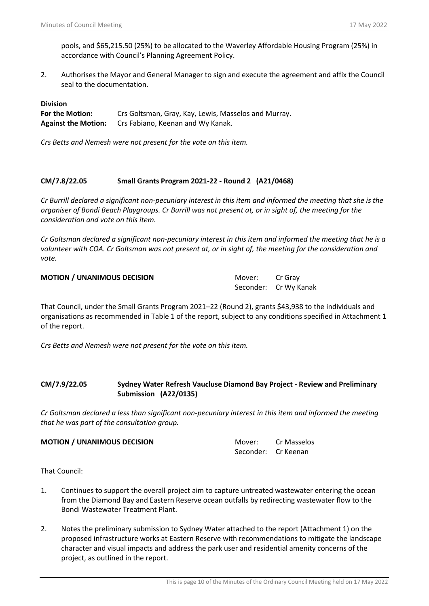pools, and \$65,215.50 (25%) to be allocated to the Waverley Affordable Housing Program (25%) in accordance with Council's Planning Agreement Policy.

2. Authorises the Mayor and General Manager to sign and execute the agreement and affix the Council seal to the documentation.

## **Division**

**For the Motion:** Crs Goltsman, Gray, Kay, Lewis, Masselos and Murray. **Against the Motion:** Crs Fabiano, Keenan and Wy Kanak.

*Crs Betts and Nemesh were not present for the vote on this item.*

# **CM/7.8/22.05 Small Grants Program 2021-22 - Round 2 (A21/0468)**

*Cr Burrill declared a significant non-pecuniary interest in this item and informed the meeting that she is the organiser of Bondi Beach Playgroups. Cr Burrill was not present at, or in sight of, the meeting for the consideration and vote on this item.*

*Cr Goltsman declared a significant non-pecuniary interest in this item and informed the meeting that he is a volunteer with COA. Cr Goltsman was not present at, or in sight of, the meeting for the consideration and vote.*

**MOTION / UNANIMOUS DECISION** Mover: Cr Gray

Seconder: Cr Wy Kanak

That Council, under the Small Grants Program 2021–22 (Round 2), grants \$43,938 to the individuals and organisations as recommended in Table 1 of the report, subject to any conditions specified in Attachment 1 of the report.

*Crs Betts and Nemesh were not present for the vote on this item.*

# **CM/7.9/22.05 Sydney Water Refresh Vaucluse Diamond Bay Project - Review and Preliminary Submission (A22/0135)**

*Cr Goltsman declared a less than significant non-pecuniary interest in this item and informed the meeting that he was part of the consultation group.*

| <b>MOTION / UNANIMOUS DECISION</b> |                     | Mover: Cr Masselos |
|------------------------------------|---------------------|--------------------|
|                                    | Seconder: Cr Keenan |                    |

- 1. Continues to support the overall project aim to capture untreated wastewater entering the ocean from the Diamond Bay and Eastern Reserve ocean outfalls by redirecting wastewater flow to the Bondi Wastewater Treatment Plant.
- 2. Notes the preliminary submission to Sydney Water attached to the report (Attachment 1) on the proposed infrastructure works at Eastern Reserve with recommendations to mitigate the landscape character and visual impacts and address the park user and residential amenity concerns of the project, as outlined in the report.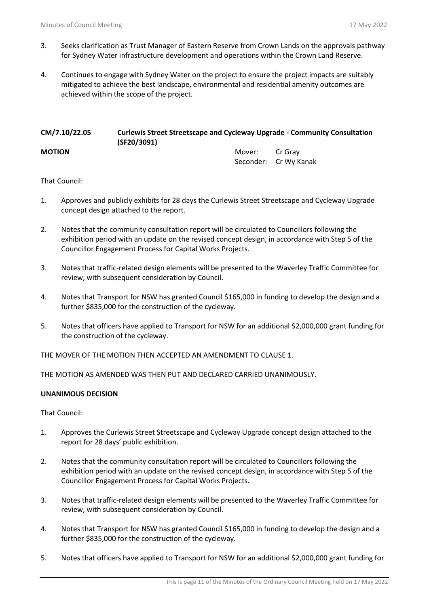- 3. Seeks clarification as Trust Manager of Eastern Reserve from Crown Lands on the approvals pathway for Sydney Water infrastructure development and operations within the Crown Land Reserve.
- 4. Continues to engage with Sydney Water on the project to ensure the project impacts are suitably mitigated to achieve the best landscape, environmental and residential amenity outcomes are achieved within the scope of the project.

| CM/7.10/22.05 | <b>Curlewis Street Streetscape and Cycleway Upgrade - Community Consultation</b><br>(SF20/3091) |        |                       |  |
|---------------|-------------------------------------------------------------------------------------------------|--------|-----------------------|--|
| <b>MOTION</b> |                                                                                                 | Mover: | Cr Grav               |  |
|               |                                                                                                 |        | Seconder: Cr Wy Kanak |  |

That Council:

- 1. Approves and publicly exhibits for 28 days the Curlewis Street Streetscape and Cycleway Upgrade concept design attached to the report.
- 2. Notes that the community consultation report will be circulated to Councillors following the exhibition period with an update on the revised concept design, in accordance with Step 5 of the Councillor Engagement Process for Capital Works Projects.
- 3. Notes that traffic-related design elements will be presented to the Waverley Traffic Committee for review, with subsequent consideration by Council.
- 4. Notes that Transport for NSW has granted Council \$165,000 in funding to develop the design and a further \$835,000 for the construction of the cycleway.
- 5. Notes that officers have applied to Transport for NSW for an additional \$2,000,000 grant funding for the construction of the cycleway.

THE MOVER OF THE MOTION THEN ACCEPTED AN AMENDMENT TO CLAUSE 1.

THE MOTION AS AMENDED WAS THEN PUT AND DECLARED CARRIED UNANIMOUSLY.

# **UNANIMOUS DECISION**

- 1. Approves the Curlewis Street Streetscape and Cycleway Upgrade concept design attached to the report for 28 days' public exhibition.
- 2. Notes that the community consultation report will be circulated to Councillors following the exhibition period with an update on the revised concept design, in accordance with Step 5 of the Councillor Engagement Process for Capital Works Projects.
- 3. Notes that traffic-related design elements will be presented to the Waverley Traffic Committee for review, with subsequent consideration by Council.
- 4. Notes that Transport for NSW has granted Council \$165,000 in funding to develop the design and a further \$835,000 for the construction of the cycleway.
- 5. Notes that officers have applied to Transport for NSW for an additional \$2,000,000 grant funding for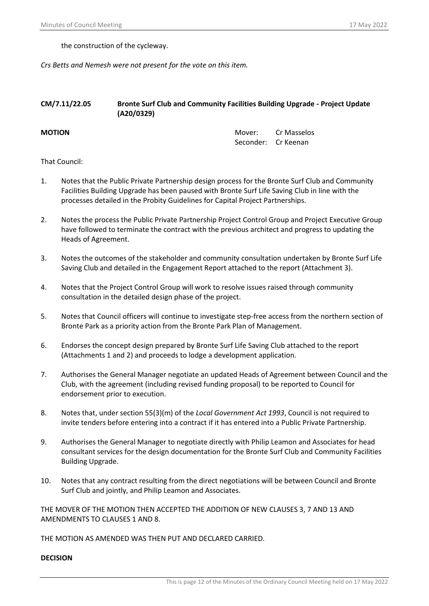the construction of the cycleway.

*Crs Betts and Nemesh were not present for the vote on this item.*

# **CM/7.11/22.05 Bronte Surf Club and Community Facilities Building Upgrade - Project Update (A20/0329)**

**MOTION MOTION MOTION** Seconder: Cr Keenan

# That Council:

- 1. Notes that the Public Private Partnership design process for the Bronte Surf Club and Community Facilities Building Upgrade has been paused with Bronte Surf Life Saving Club in line with the processes detailed in the Probity Guidelines for Capital Project Partnerships.
- 2. Notes the process the Public Private Partnership Project Control Group and Project Executive Group have followed to terminate the contract with the previous architect and progress to updating the Heads of Agreement.
- 3. Notes the outcomes of the stakeholder and community consultation undertaken by Bronte Surf Life Saving Club and detailed in the Engagement Report attached to the report (Attachment 3).
- 4. Notes that the Project Control Group will work to resolve issues raised through community consultation in the detailed design phase of the project.
- 5. Notes that Council officers will continue to investigate step-free access from the northern section of Bronte Park as a priority action from the Bronte Park Plan of Management.
- 6. Endorses the concept design prepared by Bronte Surf Life Saving Club attached to the report (Attachments 1 and 2) and proceeds to lodge a development application.
- 7. Authorises the General Manager negotiate an updated Heads of Agreement between Council and the Club, with the agreement (including revised funding proposal) to be reported to Council for endorsement prior to execution.
- 8. Notes that, under section 55(3)(m) of the *Local Government Act 1993*, Council is not required to invite tenders before entering into a contract if it has entered into a Public Private Partnership.
- 9. Authorises the General Manager to negotiate directly with Philip Leamon and Associates for head consultant services for the design documentation for the Bronte Surf Club and Community Facilities Building Upgrade.
- 10. Notes that any contract resulting from the direct negotiations will be between Council and Bronte Surf Club and jointly, and Philip Leamon and Associates.

THE MOVER OF THE MOTION THEN ACCEPTED THE ADDITION OF NEW CLAUSES 3, 7 AND 13 AND AMENDMENTS TO CLAUSES 1 AND 8.

THE MOTION AS AMENDED WAS THEN PUT AND DECLARED CARRIED.

### **DECISION**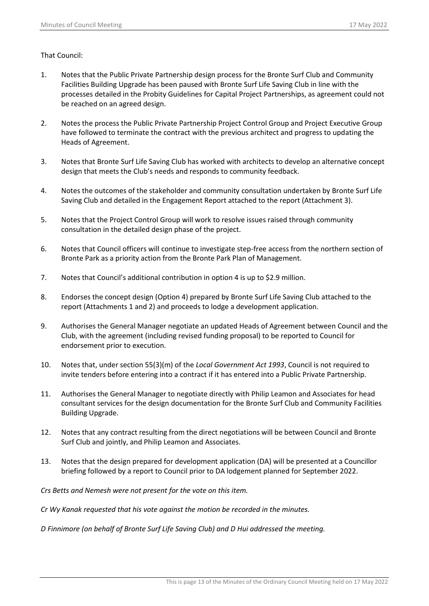# That Council:

- 1. Notes that the Public Private Partnership design process for the Bronte Surf Club and Community Facilities Building Upgrade has been paused with Bronte Surf Life Saving Club in line with the processes detailed in the Probity Guidelines for Capital Project Partnerships, as agreement could not be reached on an agreed design.
- 2. Notes the process the Public Private Partnership Project Control Group and Project Executive Group have followed to terminate the contract with the previous architect and progress to updating the Heads of Agreement.
- 3. Notes that Bronte Surf Life Saving Club has worked with architects to develop an alternative concept design that meets the Club's needs and responds to community feedback.
- 4. Notes the outcomes of the stakeholder and community consultation undertaken by Bronte Surf Life Saving Club and detailed in the Engagement Report attached to the report (Attachment 3).
- 5. Notes that the Project Control Group will work to resolve issues raised through community consultation in the detailed design phase of the project.
- 6. Notes that Council officers will continue to investigate step-free access from the northern section of Bronte Park as a priority action from the Bronte Park Plan of Management.
- 7. Notes that Council's additional contribution in option 4 is up to \$2.9 million.
- 8. Endorses the concept design (Option 4) prepared by Bronte Surf Life Saving Club attached to the report (Attachments 1 and 2) and proceeds to lodge a development application.
- 9. Authorises the General Manager negotiate an updated Heads of Agreement between Council and the Club, with the agreement (including revised funding proposal) to be reported to Council for endorsement prior to execution.
- 10. Notes that, under section 55(3)(m) of the *Local Government Act 1993*, Council is not required to invite tenders before entering into a contract if it has entered into a Public Private Partnership.
- 11. Authorises the General Manager to negotiate directly with Philip Leamon and Associates for head consultant services for the design documentation for the Bronte Surf Club and Community Facilities Building Upgrade.
- 12. Notes that any contract resulting from the direct negotiations will be between Council and Bronte Surf Club and jointly, and Philip Leamon and Associates.
- 13. Notes that the design prepared for development application (DA) will be presented at a Councillor briefing followed by a report to Council prior to DA lodgement planned for September 2022.

*Crs Betts and Nemesh were not present for the vote on this item.*

*Cr Wy Kanak requested that his vote against the motion be recorded in the minutes.*

*D Finnimore (on behalf of Bronte Surf Life Saving Club) and D Hui addressed the meeting.*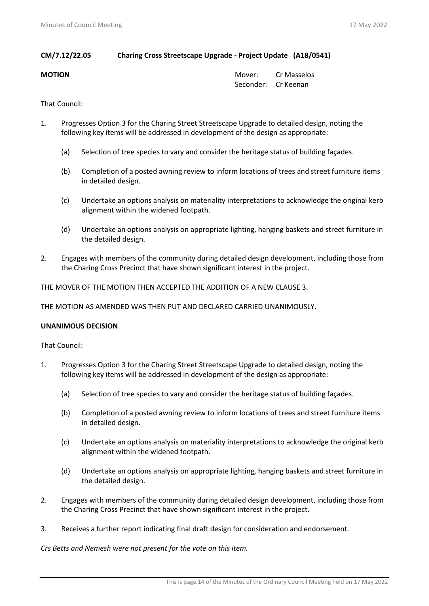# **CM/7.12/22.05 Charing Cross Streetscape Upgrade - Project Update (A18/0541)**

**MOTION MOTION MOTION** Seconder: Cr Keenan

That Council:

- 1. Progresses Option 3 for the Charing Street Streetscape Upgrade to detailed design, noting the following key items will be addressed in development of the design as appropriate:
	- (a) Selection of tree species to vary and consider the heritage status of building façades.
	- (b) Completion of a posted awning review to inform locations of trees and street furniture items in detailed design.
	- (c) Undertake an options analysis on materiality interpretations to acknowledge the original kerb alignment within the widened footpath.
	- (d) Undertake an options analysis on appropriate lighting, hanging baskets and street furniture in the detailed design.
- 2. Engages with members of the community during detailed design development, including those from the Charing Cross Precinct that have shown significant interest in the project.

THE MOVER OF THE MOTION THEN ACCEPTED THE ADDITION OF A NEW CLAUSE 3.

THE MOTION AS AMENDED WAS THEN PUT AND DECLARED CARRIED UNANIMOUSLY.

# **UNANIMOUS DECISION**

That Council:

- 1. Progresses Option 3 for the Charing Street Streetscape Upgrade to detailed design, noting the following key items will be addressed in development of the design as appropriate:
	- (a) Selection of tree species to vary and consider the heritage status of building façades.
	- (b) Completion of a posted awning review to inform locations of trees and street furniture items in detailed design.
	- (c) Undertake an options analysis on materiality interpretations to acknowledge the original kerb alignment within the widened footpath.
	- (d) Undertake an options analysis on appropriate lighting, hanging baskets and street furniture in the detailed design.
- 2. Engages with members of the community during detailed design development, including those from the Charing Cross Precinct that have shown significant interest in the project.
- 3. Receives a further report indicating final draft design for consideration and endorsement.

*Crs Betts and Nemesh were not present for the vote on this item.*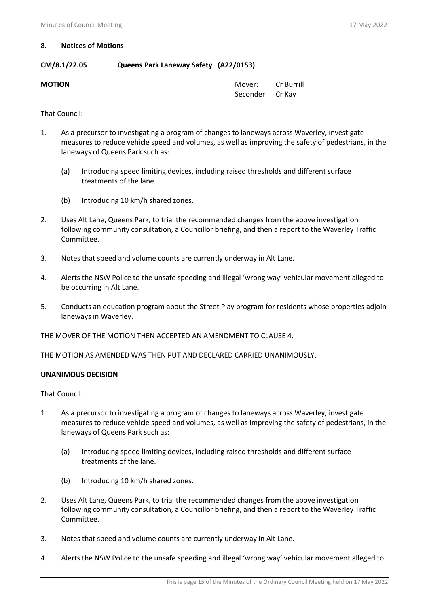# **8. Notices of Motions**

# **CM/8.1/22.05 Queens Park Laneway Safety (A22/0153)**

**MOTION MOTION** Seconder: Cr Kay

That Council:

- 1. As a precursor to investigating a program of changes to laneways across Waverley, investigate measures to reduce vehicle speed and volumes, as well as improving the safety of pedestrians, in the laneways of Queens Park such as:
	- (a) Introducing speed limiting devices, including raised thresholds and different surface treatments of the lane.
	- (b) Introducing 10 km/h shared zones.
- 2. Uses Alt Lane, Queens Park, to trial the recommended changes from the above investigation following community consultation, a Councillor briefing, and then a report to the Waverley Traffic Committee.
- 3. Notes that speed and volume counts are currently underway in Alt Lane.
- 4. Alerts the NSW Police to the unsafe speeding and illegal 'wrong way' vehicular movement alleged to be occurring in Alt Lane.
- 5. Conducts an education program about the Street Play program for residents whose properties adjoin laneways in Waverley.

THE MOVER OF THE MOTION THEN ACCEPTED AN AMENDMENT TO CLAUSE 4.

THE MOTION AS AMENDED WAS THEN PUT AND DECLARED CARRIED UNANIMOUSLY.

# **UNANIMOUS DECISION**

- 1. As a precursor to investigating a program of changes to laneways across Waverley, investigate measures to reduce vehicle speed and volumes, as well as improving the safety of pedestrians, in the laneways of Queens Park such as:
	- (a) Introducing speed limiting devices, including raised thresholds and different surface treatments of the lane.
	- (b) Introducing 10 km/h shared zones.
- 2. Uses Alt Lane, Queens Park, to trial the recommended changes from the above investigation following community consultation, a Councillor briefing, and then a report to the Waverley Traffic Committee.
- 3. Notes that speed and volume counts are currently underway in Alt Lane.
- 4. Alerts the NSW Police to the unsafe speeding and illegal 'wrong way' vehicular movement alleged to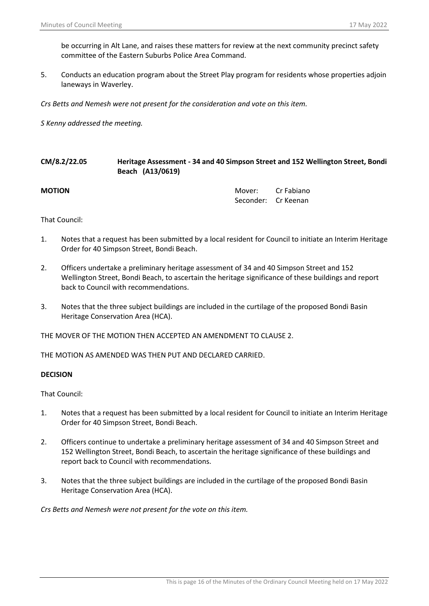be occurring in Alt Lane, and raises these matters for review at the next community precinct safety committee of the Eastern Suburbs Police Area Command.

5. Conducts an education program about the Street Play program for residents whose properties adjoin laneways in Waverley.

*Crs Betts and Nemesh were not present for the consideration and vote on this item.*

*S Kenny addressed the meeting.* 

| CM/8.2/22.05<br>Heritage Assessment - 34 and 40 Simpson Street and 152 Wellington Street, Bondi<br>Beach (A13/0619) |                               |            |  |
|---------------------------------------------------------------------------------------------------------------------|-------------------------------|------------|--|
|                                                                                                                     | Mover:<br>Seconder: Cr Keenan | Cr Fabiano |  |
|                                                                                                                     |                               |            |  |

That Council:

- 1. Notes that a request has been submitted by a local resident for Council to initiate an Interim Heritage Order for 40 Simpson Street, Bondi Beach.
- 2. Officers undertake a preliminary heritage assessment of 34 and 40 Simpson Street and 152 Wellington Street, Bondi Beach, to ascertain the heritage significance of these buildings and report back to Council with recommendations.
- 3. Notes that the three subject buildings are included in the curtilage of the proposed Bondi Basin Heritage Conservation Area (HCA).

THE MOVER OF THE MOTION THEN ACCEPTED AN AMENDMENT TO CLAUSE 2.

THE MOTION AS AMENDED WAS THEN PUT AND DECLARED CARRIED.

### **DECISION**

That Council:

- 1. Notes that a request has been submitted by a local resident for Council to initiate an Interim Heritage Order for 40 Simpson Street, Bondi Beach.
- 2. Officers continue to undertake a preliminary heritage assessment of 34 and 40 Simpson Street and 152 Wellington Street, Bondi Beach, to ascertain the heritage significance of these buildings and report back to Council with recommendations.
- 3. Notes that the three subject buildings are included in the curtilage of the proposed Bondi Basin Heritage Conservation Area (HCA).

*Crs Betts and Nemesh were not present for the vote on this item.*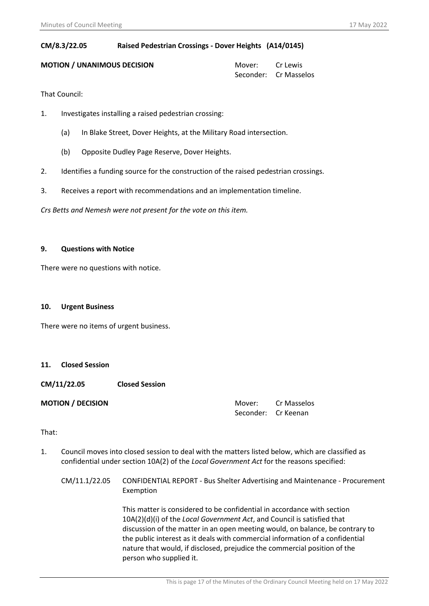# **CM/8.3/22.05 Raised Pedestrian Crossings - Dover Heights (A14/0145)**

## **MOTION / UNANIMOUS DECISION MOTION 1 MOVER 1 MOVER CELEWIS**

Seconder: Cr Masselos

That Council:

- 1. Investigates installing a raised pedestrian crossing:
	- (a) In Blake Street, Dover Heights, at the Military Road intersection.
	- (b) Opposite Dudley Page Reserve, Dover Heights.
- 2. Identifies a funding source for the construction of the raised pedestrian crossings.
- 3. Receives a report with recommendations and an implementation timeline.

*Crs Betts and Nemesh were not present for the vote on this item.*

# **9. Questions with Notice**

There were no questions with notice.

# **10. Urgent Business**

There were no items of urgent business.

# **11. Closed Session**

**CM/11/22.05 Closed Session**

**MOTION / DECISION**  MOTION / DECISION **MOTION CR** Mover: Cr Masselos Seconder: Cr Keenan

# That:

- 1. Council moves into closed session to deal with the matters listed below, which are classified as confidential under section 10A(2) of the *Local Government Act* for the reasons specified:
	- CM/11.1/22.05 CONFIDENTIAL REPORT Bus Shelter Advertising and Maintenance Procurement Exemption

This matter is considered to be confidential in accordance with section 10A(2)(d)(i) of the *Local Government Act*, and Council is satisfied that discussion of the matter in an open meeting would, on balance, be contrary to the public interest as it deals with commercial information of a confidential nature that would, if disclosed, prejudice the commercial position of the person who supplied it.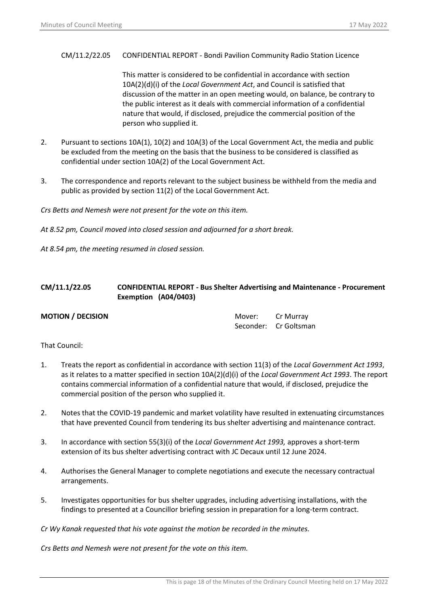## CM/11.2/22.05 CONFIDENTIAL REPORT - Bondi Pavilion Community Radio Station Licence

This matter is considered to be confidential in accordance with section 10A(2)(d)(i) of the *Local Government Act*, and Council is satisfied that discussion of the matter in an open meeting would, on balance, be contrary to the public interest as it deals with commercial information of a confidential nature that would, if disclosed, prejudice the commercial position of the person who supplied it.

- 2. Pursuant to sections 10A(1), 10(2) and 10A(3) of the Local Government Act, the media and public be excluded from the meeting on the basis that the business to be considered is classified as confidential under section 10A(2) of the Local Government Act.
- 3. The correspondence and reports relevant to the subject business be withheld from the media and public as provided by section 11(2) of the Local Government Act.

*Crs Betts and Nemesh were not present for the vote on this item.*

*At 8.52 pm, Council moved into closed session and adjourned for a short break.* 

*At 8.54 pm, the meeting resumed in closed session.* 

# **CM/11.1/22.05 CONFIDENTIAL REPORT - Bus Shelter Advertising and Maintenance - Procurement Exemption (A04/0403)**

**MOTION / DECISION**  MOTION **MOTION CR** Murray Seconder: Cr Goltsman

That Council:

- 1. Treats the report as confidential in accordance with section 11(3) of the *Local Government Act 1993*, as it relates to a matter specified in section 10A(2)(d)(i) of the *Local Government Act 1993*. The report contains commercial information of a confidential nature that would, if disclosed, prejudice the commercial position of the person who supplied it.
- 2. Notes that the COVID-19 pandemic and market volatility have resulted in extenuating circumstances that have prevented Council from tendering its bus shelter advertising and maintenance contract.
- 3. In accordance with section 55(3)(i) of the *Local Government Act 1993,* approves a short-term extension of its bus shelter advertising contract with JC Decaux until 12 June 2024.
- 4. Authorises the General Manager to complete negotiations and execute the necessary contractual arrangements.
- 5. Investigates opportunities for bus shelter upgrades, including advertising installations, with the findings to presented at a Councillor briefing session in preparation for a long-term contract.

*Cr Wy Kanak requested that his vote against the motion be recorded in the minutes.*

*Crs Betts and Nemesh were not present for the vote on this item.*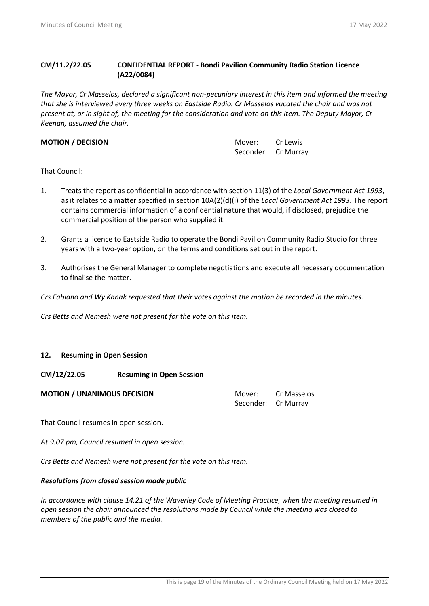# **CM/11.2/22.05 CONFIDENTIAL REPORT - Bondi Pavilion Community Radio Station Licence (A22/0084)**

*The Mayor, Cr Masselos, declared a significant non-pecuniary interest in this item and informed the meeting that she is interviewed every three weeks on Eastside Radio. Cr Masselos vacated the chair and was not present at, or in sight of, the meeting for the consideration and vote on this item. The Deputy Mayor, Cr Keenan, assumed the chair.*

**MOTION / DECISION MOTION Cr Lewis** Seconder: Cr Murray

That Council:

- 1. Treats the report as confidential in accordance with section 11(3) of the *Local Government Act 1993*, as it relates to a matter specified in section 10A(2)(d)(i) of the *Local Government Act 1993*. The report contains commercial information of a confidential nature that would, if disclosed, prejudice the commercial position of the person who supplied it.
- 2. Grants a licence to Eastside Radio to operate the Bondi Pavilion Community Radio Studio for three years with a two-year option, on the terms and conditions set out in the report.
- 3. Authorises the General Manager to complete negotiations and execute all necessary documentation to finalise the matter.

*Crs Fabiano and Wy Kanak requested that their votes against the motion be recorded in the minutes.*

*Crs Betts and Nemesh were not present for the vote on this item.*

# **12. Resuming in Open Session**

# **CM/12/22.05 Resuming in Open Session**

**Mover:** Cr Masselos Seconder: Cr Murray

That Council resumes in open session.

*At 9.07 pm, Council resumed in open session.*

*Crs Betts and Nemesh were not present for the vote on this item.*

# *Resolutions from closed session made public*

*In accordance with clause 14.21 of the Waverley Code of Meeting Practice, when the meeting resumed in open session the chair announced the resolutions made by Council while the meeting was closed to members of the public and the media.*